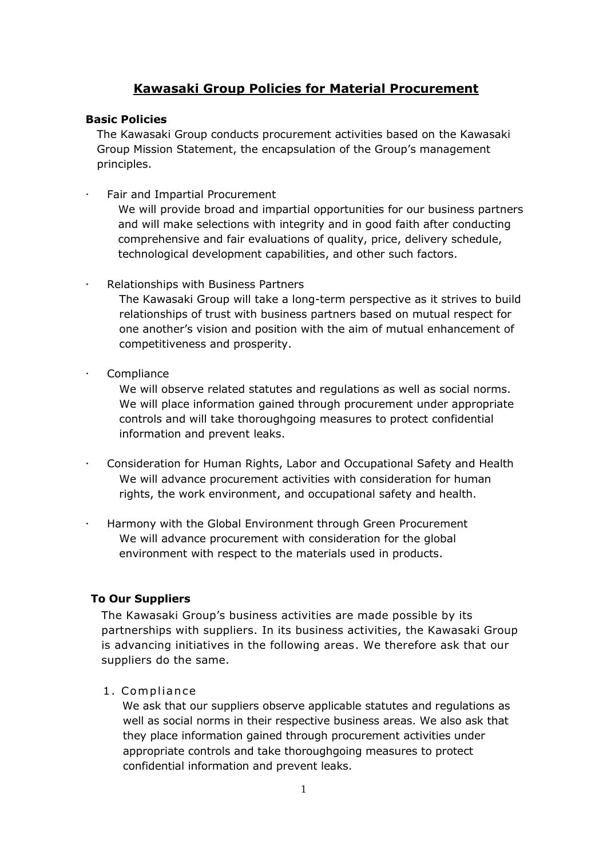## **Kawasaki Group Policies for Material Procurement**

## **Basic Policies**

The Kawasaki Group conducts procurement activities based on the Kawasaki Group Mission Statement, the encapsulation of the Group's management principles.

Fair and Impartial Procurement

We will provide broad and impartial opportunities for our business partners and will make selections with integrity and in good faith after conducting comprehensive and fair evaluations of quality, price, delivery schedule, technological development capabilities, and other such factors.

Relationships with Business Partners

The Kawasaki Group will take a long-term perspective as it strives to build relationships of trust with business partners based on mutual respect for one another's vision and position with the aim of mutual enhancement of competitiveness and prosperity.

Compliance

We will observe related statutes and regulations as well as social norms. We will place information gained through procurement under appropriate controls and will take thoroughgoing measures to protect confidential information and prevent leaks.

- Consideration for Human Rights, Labor and Occupational Safety and Health We will advance procurement activities with consideration for human rights, the work environment, and occupational safety and health.
- Harmony with the Global Environment through Green Procurement We will advance procurement with consideration for the global environment with respect to the materials used in products.

## **To Our Suppliers**

The Kawasaki Group's business activities are made possible by its partnerships with suppliers. In its business activities, the Kawasaki Group is advancing initiatives in the following areas. We therefore ask that our suppliers do the same.

1. Compliance

We ask that our suppliers observe applicable statutes and regulations as well as social norms in their respective business areas. We also ask that they place information gained through procurement activities under appropriate controls and take thoroughgoing measures to protect confidential information and prevent leaks.